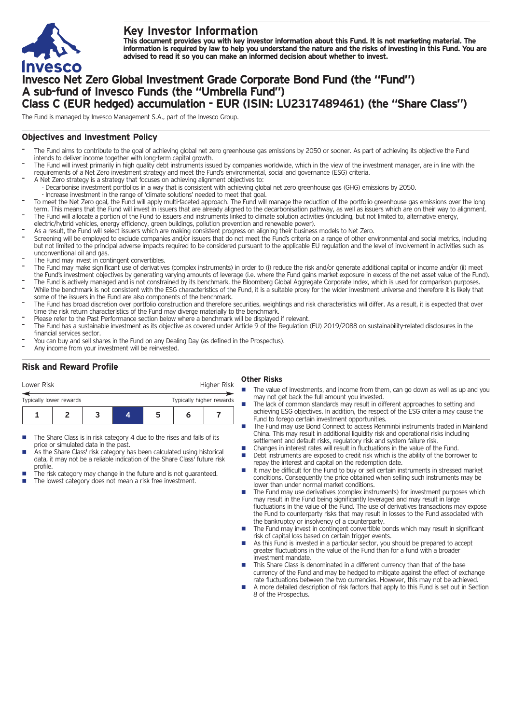

# **Key Investor Information**

This document provides you with key investor information about this Fund. It is not marketing material. The information is required by law to help you understand the nature and the risks of investing in this Fund. You are **advised to read it so you can make an informed decision about whether to invest.**

# **Invesco Net Zero Global Investment Grade Corporate Bond Fund (the "Fund") A sub-fund of Invesco Funds (the "Umbrella Fund") Class C (EUR hedged) accumulation - EUR (ISIN: LU2317489461) (the "Share Class")**

The Fund is managed by Invesco Management S.A., part of the Invesco Group.

## **Objectives and Investment Policy**

- The Fund aims to contribute to the goal of achieving global net zero greenhouse gas emissions by 2050 or sooner. As part of achieving its objective the Fund intends to deliver income together with long-term capital growth.
- The Fund will invest primarily in high quality debt instruments issued by companies worldwide, which in the view of the investment manager, are in line with the requirements of a Net Zero investment strategy and meet the Fund's environmental, social and governance (ESG) criteria.
- A Net Zero strategy is a strategy that focuses on achieving alignment objectives to: - Decarbonise investment portfolios in a way that is consistent with achieving global net zero greenhouse gas (GHG) emissions by 2050.
- Increase investment in the range of 'climate solutions' needed to meet that goal.
- To meet the Net Zero goal, the Fund will apply multi-faceted approach. The Fund will manage the reduction of the portfolio greenhouse gas emissions over the long term. This means that the Fund will invest in issuers that are already aligned to the decarbonisation pathway, as well as issuers which are on their way to alignment. The Fund will allocate a portion of the Fund to issuers and instruments linked to climate solution activities (including, but not limited to, alternative energy,
- electric/hybrid vehicles, energy efficiency, green buildings, pollution prevention and renewable power).
- As a result, the Fund will select issuers which are making consistent progress on aligning their business models to Net Zero.
- Screening will be employed to exclude companies and/or issuers that do not meet the Fund's criteria on a range of other environmental and social metrics, including but not limited to the principal adverse impacts required to be considered pursuant to the applicable EU regulation and the level of involvement in activities such as unconventional oil and gas.
- The Fund may invest in contingent convertibles.
- The Fund may make significant use of derivatives (complex instruments) in order to (i) reduce the risk and/or generate additional capital or income and/or (ii) meet the Fund's investment objectives by generating varying amounts of leverage (i.e. where the Fund gains market exposure in excess of the net asset value of the Fund).
- The Fund is actively managed and is not constrained by its benchmark, the Bloomberg Global Aggregate Corporate Index, which is used for comparison purposes. While the benchmark is not consistent with the ESG characteristics of the Fund, it is a suitable proxy for the wider investment universe and therefore it is likely that some of the issuers in the Fund are also components of the benchmark.
- The Fund has broad discretion over portfolio construction and therefore securities, weightings and risk characteristics will differ. As a result, it is expected that over time the risk return characteristics of the Fund may diverge materially to the benchmark.
- Please refer to the Past Performance section below where a benchmark will be displayed if relevant.
- The Fund has a sustainable investment as its objective as covered under Article 9 of the Regulation (EU) 2019/2088 on sustainability-related disclosures in the financial services sector.
- You can buy and sell shares in the Fund on any Dealing Day (as defined in the Prospectus).
- Any income from your investment will be reinvested.

## **Risk and Reward Profile**

| Lower Risk              |  |                          |  | Higher Risk |   |  |
|-------------------------|--|--------------------------|--|-------------|---|--|
| Typically lower rewards |  | Typically higher rewards |  |             |   |  |
|                         |  |                          |  | ּ           | n |  |

- The Share Class is in risk category 4 due to the rises and falls of its price or simulated data in the past.
- As the Share Class' risk category has been calculated using historical data, it may not be a reliable indication of the Share Class' future risk profile.
- The risk category may change in the future and is not guaranteed. The lowest category does not mean a risk free investment.

## **Other Risks**

- The value of investments, and income from them, can go down as well as up and you may not get back the full amount you invested.
- The lack of common standards may result in different approaches to setting and achieving ESG objectives. In addition, the respect of the ESG criteria may cause the Fund to forego certain investment opportunities.
- The Fund may use Bond Connect to access Renminbi instruments traded in Mainland China. This may result in additional liquidity risk and operational risks including settlement and default risks, regulatory risk and system failure risk.
- Changes in interest rates will result in fluctuations in the value of the Fund.<br>■ Debt instruments are exposed to credit risk which is the ability of the borre
- Debt instruments are exposed to credit risk which is the ability of the borrower to repay the interest and capital on the redemption date.
- $\blacksquare$  It may be difficult for the Fund to buy or sell certain instruments in stressed market conditions. Consequently the price obtained when selling such instruments may be lower than under normal market conditions.
- The Fund may use derivatives (complex instruments) for investment purposes which may result in the Fund being significantly leveraged and may result in large fluctuations in the value of the Fund. The use of derivatives transactions may expose the Fund to counterparty risks that may result in losses to the Fund associated with the bankruptcy or insolvency of a counterparty.
- The Fund may invest in contingent convertible bonds which may result in significant risk of capital loss based on certain trigger events.
- n As this Fund is invested in a particular sector, you should be prepared to accept greater fluctuations in the value of the Fund than for a fund with a broader investment mandate.
- This Share Class is denominated in a different currency than that of the base currency of the Fund and may be hedged to mitigate against the effect of exchange rate fluctuations between the two currencies. However, this may not be achieved.
- n A more detailed description of risk factors that apply to this Fund is set out in Section 8 of the Prospectus.